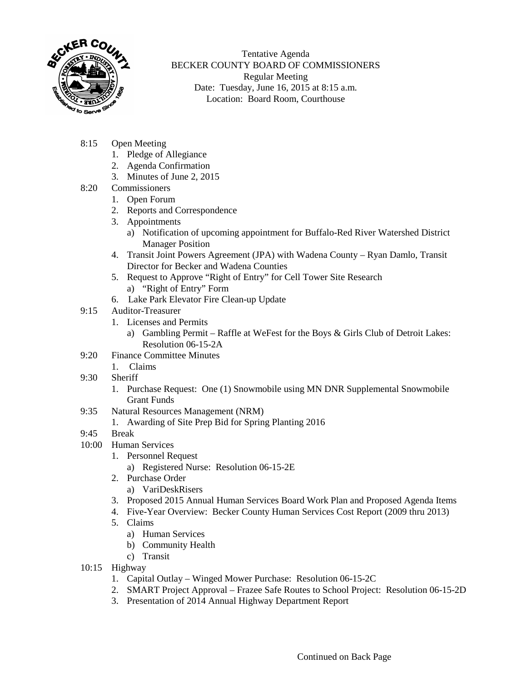

Tentative Agenda BECKER COUNTY BOARD OF COMMISSIONERS Regular Meeting Date: Tuesday, June 16, 2015 at 8:15 a.m. Location: Board Room, Courthouse

- 8:15 Open Meeting
	- 1. Pledge of Allegiance
	- 2. Agenda Confirmation
	- 3. Minutes of June 2, 2015
- 8:20 Commissioners
	- 1. Open Forum
	- 2. Reports and Correspondence
	- 3. Appointments
		- a) Notification of upcoming appointment for Buffalo-Red River Watershed District Manager Position
	- 4. Transit Joint Powers Agreement (JPA) with Wadena County Ryan Damlo, Transit Director for Becker and Wadena Counties
	- 5. Request to Approve "Right of Entry" for Cell Tower Site Research
		- a) "Right of Entry" Form
	- 6. Lake Park Elevator Fire Clean-up Update
- 9:15 Auditor-Treasurer
	- 1. Licenses and Permits
		- a) Gambling Permit Raffle at WeFest for the Boys & Girls Club of Detroit Lakes: Resolution 06-15-2A
- 9:20 Finance Committee Minutes
	- 1. Claims
- 9:30 Sheriff
	- 1. Purchase Request: One (1) Snowmobile using MN DNR Supplemental Snowmobile Grant Funds
- 9:35 Natural Resources Management (NRM)
	- 1. Awarding of Site Prep Bid for Spring Planting 2016
- 9:45 Break
- 10:00 Human Services
	- 1. Personnel Request
		- a) Registered Nurse: Resolution 06-15-2E
	- 2. Purchase Order
		- a) VariDeskRisers
	- 3. Proposed 2015 Annual Human Services Board Work Plan and Proposed Agenda Items
	- 4. Five-Year Overview: Becker County Human Services Cost Report (2009 thru 2013)
	- 5. Claims
		- a) Human Services
		- b) Community Health
		- c) Transit
- 10:15 Highway
	- 1. Capital Outlay Winged Mower Purchase: Resolution 06-15-2C
	- 2. SMART Project Approval Frazee Safe Routes to School Project: Resolution 06-15-2D
	- 3. Presentation of 2014 Annual Highway Department Report